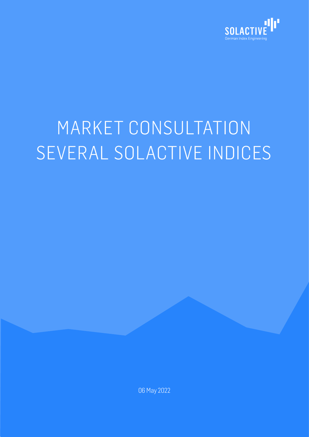

# MARKET CONSULTATION SEVERAL SOLACTIVE INDICES

06 May 2022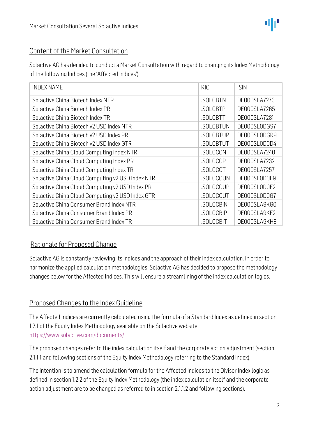#### Content of the Market Consultation

Solactive AG has decided to conduct a Market Consultation with regard to changing its Index Methodology of the following Indices (the 'Affected Indices'):

| <b>INDEX NAME</b>                                | <b>RIC</b> | <b>ISIN</b>  |
|--------------------------------------------------|------------|--------------|
| Solactive China Biotech Index NTR                | .SOLCBTN   | DE000SLA7273 |
| Solactive China Biotech Index PR                 | .SOLCBTP   | DE000SLA7265 |
| Solactive China Biotech Index TR                 | .SOLCBTT   | DE000SLA7281 |
| Solactive China Biotech v2 USD Index NTR         | .SOLCBTUN  | DE000SL0DGS7 |
| Solactive China Biotech v2 USD Index PR          | .SOLCBTUP  | DE000SL0DGR9 |
| Solactive China Biotech v2 USD Index GTR         | .SOLCBTUT  | DE000SL0D0D4 |
| Solactive China Cloud Computing Index NTR        | .SOLCCCN   | DE000SLA7240 |
| Solactive China Cloud Computing Index PR         | .SOLCCCP   | DE000SLA7232 |
| Solactive China Cloud Computing Index TR         | .SOLCCCT   | DE000SLA7257 |
| Solactive China Cloud Computing v2 USD Index NTR | .SOLCCCUN  | DE000SL0D0F9 |
| Solactive China Cloud Computing v2 USD Index PR  | .SOLCCCUP  | DE000SL0D0E2 |
| Solactive China Cloud Computing v2 USD Index GTR | .SOLCCCUT  | DE000SL0D0G7 |
| Solactive China Consumer Brand Index NTR         | .SOLCCBIN  | DE000SLA9KG0 |
| Solactive China Consumer Brand Index PR          | .SOLCCBIP  | DE000SLA9KF2 |
| Solactive China Consumer Brand Index TR          | .SOLCCBIT  | DE000SLA9KH8 |

# Rationale for Proposed Change

Solactive AG is constantly reviewing its indices and the approach of their index calculation. In order to harmonize the applied calculation methodologies, Solactive AG has decided to propose the methodology changes below for the Affected Indices. This will ensure a streamlining of the index calculation logics.

# Proposed Changes to the Index Guideline

The Affected Indices are currently calculated using the formula of a Standard Index as defined in section 1.2.1 of the Equity Index Methodology available on the Solactive website: <https://www.solactive.com/documents/>

The proposed changes refer to the index calculation itself and the corporate action adjustment (section 2.1.1.1 and following sections of the Equity Index Methodology referring to the Standard Index).

The intention is to amend the calculation formula for the Affected Indices to the Divisor Indexlogic as defined in section 1.2.2 of the Equity Index Methodology (the index calculation itself and the corporate action adjustment are to be changed as referred to in section 2.1.1.2 and following sections).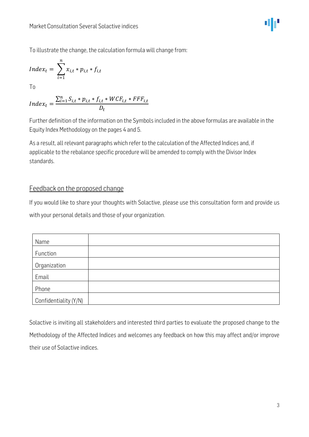

To illustrate the change, the calculation formula will change from:

$$
Index_t = \sum_{i=1}^n x_{i,t} * p_{i,t} * f_{i,t}
$$

To

$$
Index_t = \frac{\sum_{i=1}^{n} S_{i,t} * p_{i,t} * f_{i,t} * WCF_{i,t} * FFF_{i,t}}{D_t}
$$

Further definition of the information on the Symbols included in the above formulas are available in the Equity Index Methodology on the pages 4 and 5.

As a result, all relevant paragraphs which refer to the calculation of the Affected Indices and, if applicable to the rebalance specific procedure will be amended to comply with the Divisor Index standards.

### Feedback on the proposed change

If you would like to share your thoughts with Solactive, please use this consultation form and provide us with your personal details and those of your organization.

| Name                  |  |
|-----------------------|--|
| Function              |  |
| Organization          |  |
| Email                 |  |
| Phone                 |  |
| Confidentiality (Y/N) |  |

Solactive is inviting all stakeholders and interested third parties to evaluate the proposed change to the Methodology of the Affected Indices and welcomes any feedback on how this may affect and/or improve their use of Solactive indices.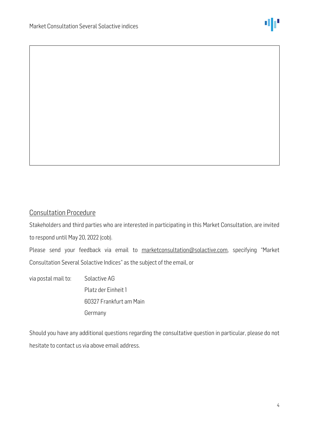

#### Consultation Procedure

Stakeholders and third parties who are interested in participating in this Market Consultation, are invited to respond until May 20, 2022 (cob).

Please send your feedback via email to [marketconsultation@solactive.com,](mailto:marketconsultation@solactive.com) specifying "Market Consultation Several Solactive Indices" as the subject of the email, or

via postal mail to: Solactive AG Platz der Einheit 1 60327 Frankfurt am Main Germany

Should you have any additional questions regarding the consultative question in particular, please do not hesitate to contact us via above email address.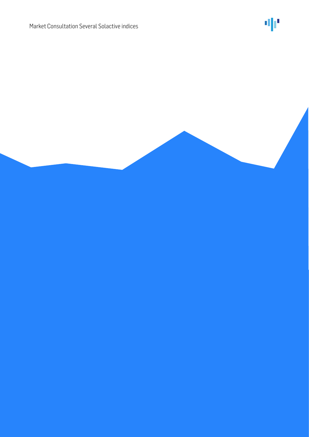